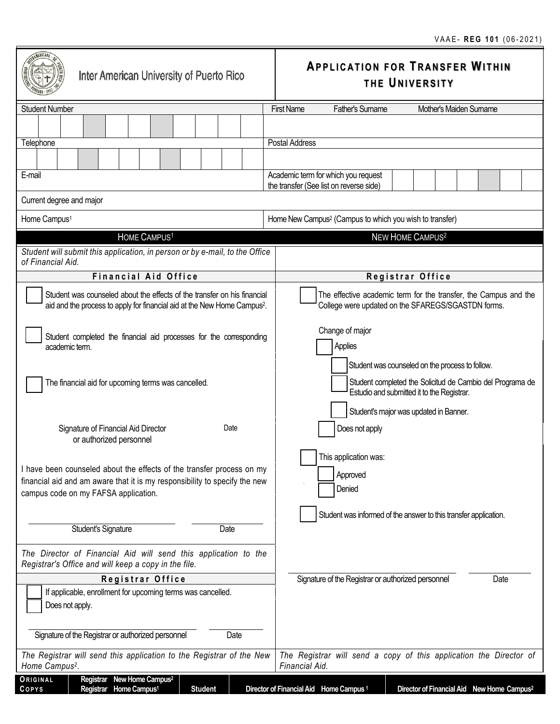| Inter American University of Puerto Rico                                                                                                                                                    | <b>APPLICATION FOR TRANSFER WITHIN</b><br>THE UNIVERSITY                                                                                          |  |
|---------------------------------------------------------------------------------------------------------------------------------------------------------------------------------------------|---------------------------------------------------------------------------------------------------------------------------------------------------|--|
| <b>Student Number</b>                                                                                                                                                                       | <b>First Name</b><br>Father's Surname<br>Mother's Maiden Surname                                                                                  |  |
| Telephone                                                                                                                                                                                   | Postal Address                                                                                                                                    |  |
| E-mail                                                                                                                                                                                      | Academic term for which you request<br>the transfer (See list on reverse side)                                                                    |  |
| Current degree and major                                                                                                                                                                    |                                                                                                                                                   |  |
| Home Campus <sup>1</sup>                                                                                                                                                                    | Home New Campus <sup>2</sup> (Campus to which you wish to transfer)                                                                               |  |
| HOME CAMPUS <sup>1</sup>                                                                                                                                                                    | NEW HOME CAMPUS <sup>2</sup>                                                                                                                      |  |
| Student will submit this application, in person or by e-mail, to the Office<br>of Financial Aid.                                                                                            |                                                                                                                                                   |  |
| <b>Financial Aid Office</b>                                                                                                                                                                 | Registrar Office                                                                                                                                  |  |
| Student was counseled about the effects of the transfer on his financial<br>aid and the process to apply for financial aid at the New Home Campus <sup>2</sup> .                            | The effective academic term for the transfer, the Campus and the<br>College were updated on the SFAREGS/SGASTDN forms.                            |  |
| Student completed the financial aid processes for the corresponding<br>academic term.                                                                                                       | Change of major<br>Applies<br>Student was counseled on the process to follow.                                                                     |  |
| The financial aid for upcoming terms was cancelled.                                                                                                                                         | Student completed the Solicitud de Cambio del Programa de<br>Estudio and submitted it to the Registrar.<br>Student's major was updated in Banner. |  |
| Signature of Financial Aid Director<br>Date<br>or authorized personnel                                                                                                                      | Does not apply                                                                                                                                    |  |
| I have been counseled about the effects of the transfer process on my<br>financial aid and am aware that it is my responsibility to specify the new<br>campus code on my FAFSA application. | This application was:<br>Approved<br>Denied<br>Student was informed of the answer to this transfer application.                                   |  |
| <b>Student's Signature</b><br>Date                                                                                                                                                          |                                                                                                                                                   |  |
| The Director of Financial Aid will send this application to the<br>Registrar's Office and will keep a copy in the file.                                                                     |                                                                                                                                                   |  |
| Registrar Office                                                                                                                                                                            | Signature of the Registrar or authorized personnel<br>Date                                                                                        |  |
| If applicable, enrollment for upcoming terms was cancelled.<br>Does not apply.                                                                                                              |                                                                                                                                                   |  |
| Date<br>Signature of the Registrar or authorized personnel                                                                                                                                  |                                                                                                                                                   |  |
| The Registrar will send this application to the Registrar of the New<br>The Registrar will send a copy of this application the Director of<br>Home Campus <sup>2</sup> .<br>Financial Aid.  |                                                                                                                                                   |  |
| Registrar New Home Campus <sup>2</sup><br>ORIGINAL<br>Registrar Home Campus <sup>1</sup><br>COPYS<br><b>Student</b>                                                                         | Director of Financial Aid Home Campus <sup>1</sup><br>Director of Financial Aid New Home Campus <sup>2</sup>                                      |  |